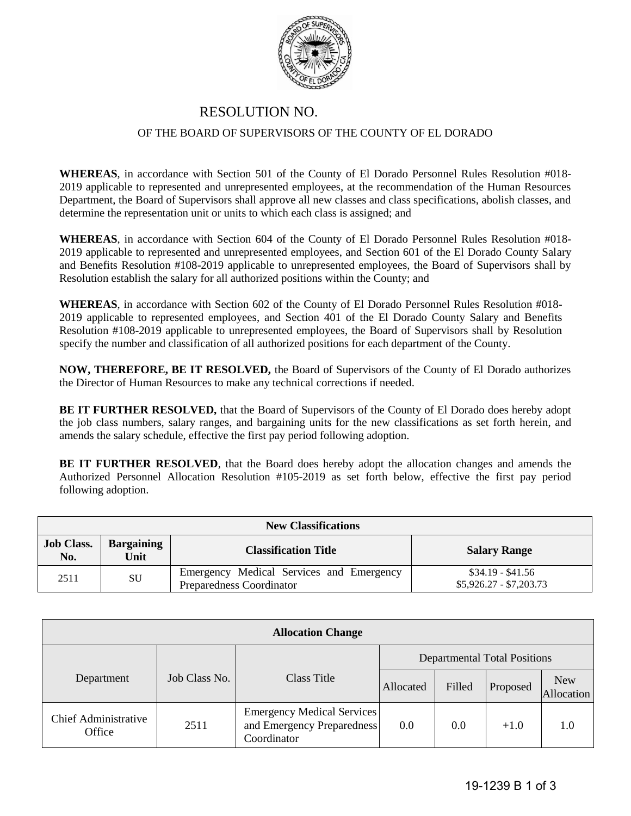

## RESOLUTION NO. OF THE BOARD OF SUPERVISORS OF THE COUNTY OF EL DORADO

**WHEREAS**, in accordance with Section 501 of the County of El Dorado Personnel Rules Resolution #018- 2019 applicable to represented and unrepresented employees, at the recommendation of the Human Resources Department, the Board of Supervisors shall approve all new classes and class specifications, abolish classes, and determine the representation unit or units to which each class is assigned; and

**WHEREAS**, in accordance with Section 604 of the County of El Dorado Personnel Rules Resolution #018- 2019 applicable to represented and unrepresented employees, and Section 601 of the El Dorado County Salary and Benefits Resolution #108-2019 applicable to unrepresented employees, the Board of Supervisors shall by Resolution establish the salary for all authorized positions within the County; and

**WHEREAS**, in accordance with Section 602 of the County of El Dorado Personnel Rules Resolution #018- 2019 applicable to represented employees, and Section 401 of the El Dorado County Salary and Benefits Resolution #108-2019 applicable to unrepresented employees, the Board of Supervisors shall by Resolution specify the number and classification of all authorized positions for each department of the County.

**NOW, THEREFORE, BE IT RESOLVED,** the Board of Supervisors of the County of El Dorado authorizes the Director of Human Resources to make any technical corrections if needed.

**BE IT FURTHER RESOLVED,** that the Board of Supervisors of the County of El Dorado does hereby adopt the job class numbers, salary ranges, and bargaining units for the new classifications as set forth herein, and amends the salary schedule, effective the first pay period following adoption.

**BE IT FURTHER RESOLVED**, that the Board does hereby adopt the allocation changes and amends the Authorized Personnel Allocation Resolution #105-2019 as set forth below, effective the first pay period following adoption.

| <b>New Classifications</b> |                           |                                                                      |                                              |  |
|----------------------------|---------------------------|----------------------------------------------------------------------|----------------------------------------------|--|
| <b>Job Class.</b><br>No.   | <b>Bargaining</b><br>Unit | <b>Classification Title</b>                                          | <b>Salary Range</b>                          |  |
| 2511                       | SU                        | Emergency Medical Services and Emergency<br>Preparedness Coordinator | $$34.19 - $41.56$<br>$$5,926.27 - $7,203.73$ |  |

| <b>Allocation Change</b>              |               |                                                                                |           |        |          |                          |
|---------------------------------------|---------------|--------------------------------------------------------------------------------|-----------|--------|----------|--------------------------|
|                                       |               | <b>Departmental Total Positions</b>                                            |           |        |          |                          |
| Department                            | Job Class No. | Class Title                                                                    | Allocated | Filled | Proposed | <b>New</b><br>Allocation |
| <b>Chief Administrative</b><br>Office | 2511          | <b>Emergency Medical Services</b><br>and Emergency Preparedness<br>Coordinator | 0.0       | 0.0    | $+1.0$   | 1.0                      |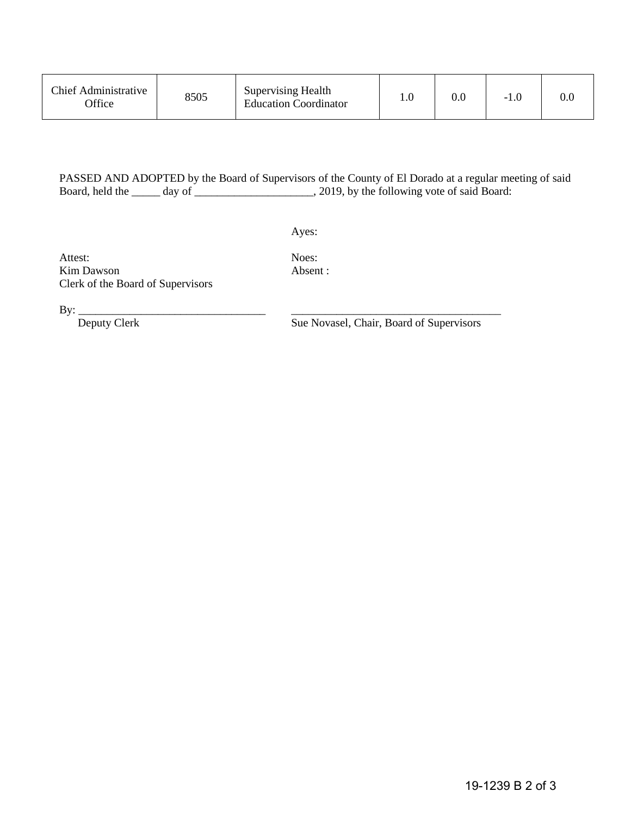| Chief Administrative<br><b>Office</b> | 8505 | Supervising Health<br><b>Education Coordinator</b> |  | 0.C | -1.0 | $0.0\,$ |
|---------------------------------------|------|----------------------------------------------------|--|-----|------|---------|
|---------------------------------------|------|----------------------------------------------------|--|-----|------|---------|

## PASSED AND ADOPTED by the Board of Supervisors of the County of El Dorado at a regular meeting of said Board, held the \_\_\_\_\_\_ day of \_\_\_\_\_\_\_\_\_\_\_\_\_\_\_\_\_\_\_\_\_\_, 2019, by the following vote of said Board:

Ayes:

Attest: Noes: Kim Dawson **Absent :** Clerk of the Board of Supervisors

By: \_\_\_\_\_\_\_\_\_\_\_\_\_\_\_\_\_\_\_\_\_\_\_\_\_\_\_\_\_\_\_\_\_ \_\_\_\_\_\_\_\_\_\_\_\_\_\_\_\_\_\_\_\_\_\_\_\_\_\_\_\_\_\_\_\_\_\_\_\_\_

Sue Novasel, Chair, Board of Supervisors